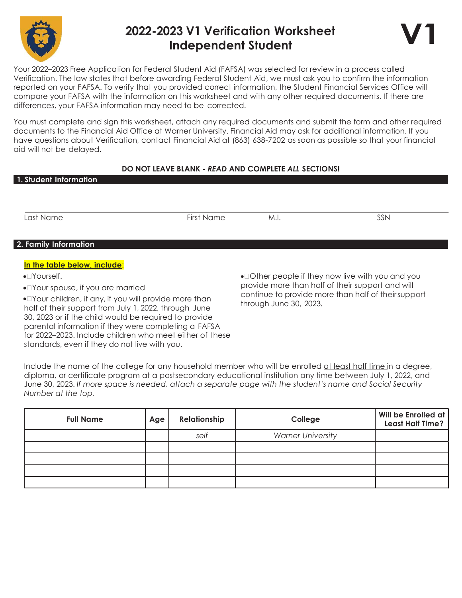

## 2022-2023 V1 Verification Worksheet Independent Student



Your 2022–2023 Free Application for Federal Student Aid (FAFSA) was selected for review in a process called Verification. The law states that before awarding Federal Student Aid, we must ask you to confirm the information reported on your FAFSA. To verify that you provided correct information, the Student Financial Services Office will compare your FAFSA with the information on this worksheet and with any other required documents. If there are differences, your FAFSA information may need to be corrected.

You must complete and sign this worksheet, attach any required documents and submit the form and other required documents to the Financial Aid Office at Warner University. Financial Aid may ask for additional information. If you have questions about Verification, contact Financial Aid at (863) 638-7202 as soon as possible so that your financial aid will not be delayed.

## DO NOT LEAVE BLANK - READ AND COMPLETE ALL SECTIONS!

| 1. Student Information                                                                                          |            |                                                                                                        |     |
|-----------------------------------------------------------------------------------------------------------------|------------|--------------------------------------------------------------------------------------------------------|-----|
|                                                                                                                 |            |                                                                                                        |     |
| ∟ast Name                                                                                                       | First Name | M.I.                                                                                                   | SSN |
| 2. Family Information                                                                                           |            |                                                                                                        |     |
| In the table below, include:                                                                                    |            |                                                                                                        |     |
| $\bullet$ $\Box$ Yourself.<br>• Trour spouse, if you are married                                                |            | • Other people if they now live with you and you                                                       |     |
|                                                                                                                 |            | provide more than half of their support and will<br>continue to provide more than half of theirsupport |     |
| • Your children, if any, if you will provide more than<br>half of their support from July 1, 2022, through June |            | through June 30, 2023.                                                                                 |     |

Include the name of the college for any household member who will be enrolled at least half time in a degree, diploma, or certificate program at a postsecondary educational institution any time between July 1, 2022, and June 30, 2023. If more space is needed, attach a separate page with the student's name and Social Security Number at the top.

30, 2023 or if the child would be required to provide parental information if they were completing a FAFSA for 2022–2023. Include children who meet either of these

standards, even if they do not live with you.

| <b>Full Name</b> | Age | Relationship | College                  | Will be Enrolled at<br><b>Least Half Time?</b> |
|------------------|-----|--------------|--------------------------|------------------------------------------------|
|                  |     | self         | <b>Warner University</b> |                                                |
|                  |     |              |                          |                                                |
|                  |     |              |                          |                                                |
|                  |     |              |                          |                                                |
|                  |     |              |                          |                                                |